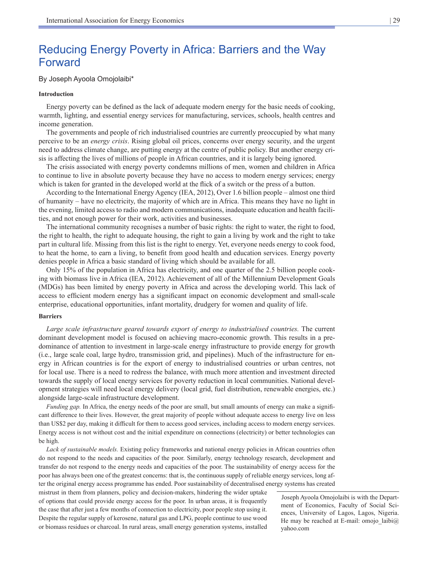# Reducing Energy Poverty in Africa: Barriers and the Way Forward

# By Joseph Ayoola Omojolaibi\*

## **Introduction**

Energy poverty can be defined as the lack of adequate modern energy for the basic needs of cooking, warmth, lighting, and essential energy services for manufacturing, services, schools, health centres and income generation.

The governments and people of rich industrialised countries are currently preoccupied by what many perceive to be an *energy crisis*. Rising global oil prices, concerns over energy security, and the urgent need to address climate change, are putting energy at the centre of public policy. But another energy crisis is affecting the lives of millions of people in African countries, and it is largely being ignored.

The crisis associated with energy poverty condemns millions of men, women and children in Africa to continue to live in absolute poverty because they have no access to modern energy services; energy which is taken for granted in the developed world at the flick of a switch or the press of a button.

According to the International Energy Agency (IEA, 2012), Over 1.6 billion people – almost one third of humanity – have no electricity, the majority of which are in Africa. This means they have no light in the evening, limited access to radio and modern communications, inadequate education and health facilities, and not enough power for their work, activities and businesses.

The international community recognises a number of basic rights: the right to water, the right to food, the right to health, the right to adequate housing, the right to gain a living by work and the right to take part in cultural life. Missing from this list is the right to energy. Yet, everyone needs energy to cook food, to heat the home, to earn a living, to benefit from good health and education services. Energy poverty denies people in Africa a basic standard of living which should be available for all.

Only 15% of the population in Africa has electricity, and one quarter of the 2.5 billion people cooking with biomass live in Africa (IEA, 2012). Achievement of all of the Millennium Development Goals (MDGs) has been limited by energy poverty in Africa and across the developing world. This lack of access to efficient modern energy has a significant impact on economic development and small-scale enterprise, educational opportunities, infant mortality, drudgery for women and quality of life.

#### **Barriers**

Large scale infrastructure geared towards export of energy to industrialised countries. The current dominant development model is focused on achieving macro-economic growth. This results in a predominance of attention to investment in large-scale energy infrastructure to provide energy for growth (i.e., large scale coal, large hydro, transmission grid, and pipelines). Much of the infrastructure for energy in African countries is for the export of energy to industrialised countries or urban centres, not for local use. There is a need to redress the balance, with much more attention and investment directed towards the supply of local energy services for poverty reduction in local communities. National development strategies will need local energy delivery (local grid, fuel distribution, renewable energies, etc.) alongside large-scale infrastructure development.

*Funding gap.* In Africa, the energy needs of the poor are small, but small amounts of energy can make a significant difference to their lives. However, the great majority of people without adequate access to energy live on less than US\$2 per day, making it difficult for them to access good services, including access to modern energy services. Energy access is not without cost and the initial expenditure on connections (electricity) or better technologies can be high.

*Lack of sustainable models.* Existing policy frameworks and national energy policies in African countries often do not respond to the needs and capacities of the poor. Similarly, energy technology research, development and transfer do not respond to the energy needs and capacities of the poor. The sustainability of energy access for the poor has always been one of the greatest concerns: that is, the continuous supply of reliable energy services, long after the original energy access programme has ended. Poor sustainability of decentralised energy systems has created

mistrust in them from planners, policy and decision-makers, hindering the wider uptake of options that could provide energy access for the poor. In urban areas, it is frequently the case that after just a few months of connection to electricity, poor people stop using it. Despite the regular supply of kerosene, natural gas and LPG, people continue to use wood or biomass residues or charcoal. In rural areas, small energy generation systems, installed

 Joseph Ayoola Omojolaibi is with the Department of Economics, Faculty of Social Sciences, University of Lagos, Lagos, Nigeria. He may be reached at E-mail: omojo  $la@$ yahoo.com